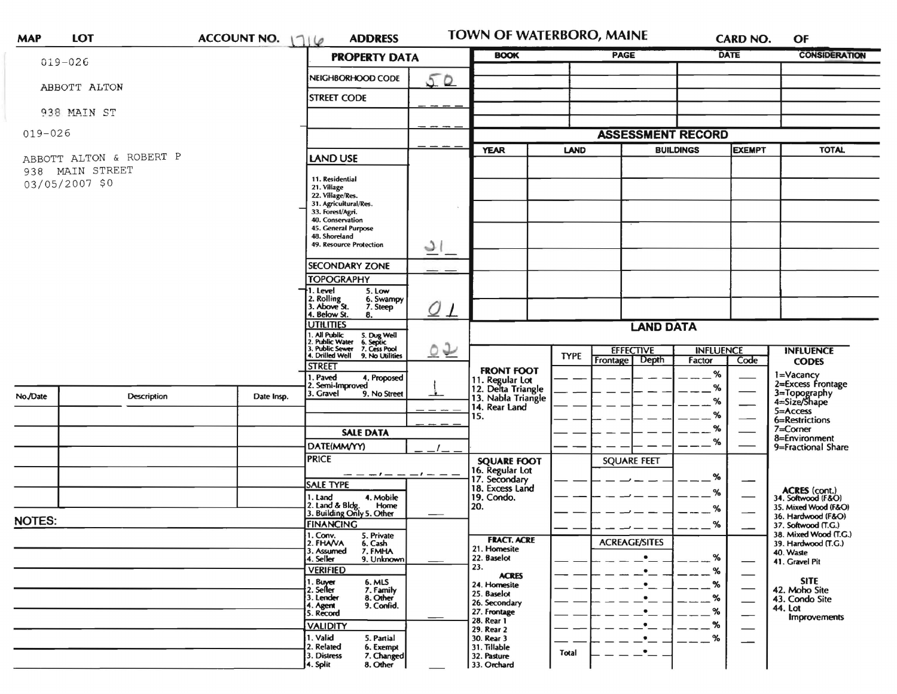| <b>MAP</b>                                                   | <b>LOT</b>         | ACCOUNT NO. $116$                                                                                                                              | <b>ADDRESS</b>                                                                                                                                                                                                                                                                                                    |                         | <b>TOWN OF WATERBORO, MAINE</b>                                                                          |                                                          |                                                | CARD NO.                        |                                                                                                                                            | OF                                                                                                                           |
|--------------------------------------------------------------|--------------------|------------------------------------------------------------------------------------------------------------------------------------------------|-------------------------------------------------------------------------------------------------------------------------------------------------------------------------------------------------------------------------------------------------------------------------------------------------------------------|-------------------------|----------------------------------------------------------------------------------------------------------|----------------------------------------------------------|------------------------------------------------|---------------------------------|--------------------------------------------------------------------------------------------------------------------------------------------|------------------------------------------------------------------------------------------------------------------------------|
|                                                              | $019 - 026$        |                                                                                                                                                | <b>PROPERTY DATA</b>                                                                                                                                                                                                                                                                                              |                         | <b>PAGE</b><br><b>BOOK</b>                                                                               |                                                          |                                                | <b>DATE</b>                     |                                                                                                                                            | <b>CONSIDERATION</b>                                                                                                         |
|                                                              |                    |                                                                                                                                                | NEIGHBORHOOD CODE                                                                                                                                                                                                                                                                                                 | 50                      |                                                                                                          |                                                          |                                                |                                 |                                                                                                                                            |                                                                                                                              |
| ABBOTT ALTON                                                 |                    |                                                                                                                                                | <b>STREET CODE</b>                                                                                                                                                                                                                                                                                                |                         |                                                                                                          |                                                          |                                                |                                 |                                                                                                                                            |                                                                                                                              |
|                                                              | 938 MAIN ST        |                                                                                                                                                |                                                                                                                                                                                                                                                                                                                   |                         |                                                                                                          |                                                          |                                                |                                 |                                                                                                                                            |                                                                                                                              |
| $019 - 026$                                                  |                    |                                                                                                                                                |                                                                                                                                                                                                                                                                                                                   |                         | <b>ASSESSMENT RECORD</b>                                                                                 |                                                          |                                                |                                 |                                                                                                                                            |                                                                                                                              |
| ABBOTT ALTON & ROBERT P<br>938 MAIN STREET<br>03/05/2007 \$0 |                    |                                                                                                                                                | LAND USE                                                                                                                                                                                                                                                                                                          | $\mathcal{L}$<br>$O\_1$ | <b>YEAR</b>                                                                                              | <b>LAND</b>                                              | <b>BUILDINGS</b>                               |                                 | <b>EXEMPT</b>                                                                                                                              | <b>TOTAL</b>                                                                                                                 |
|                                                              |                    |                                                                                                                                                | 11. Residential<br>21. Village<br>22. Village/Res.<br>31. Agricultural/Res.<br>33. Forest/Agri.<br>40. Conservation<br>45. General Purpose<br>48. Shoreland<br>49. Resource Protection<br><b>SECONDARY ZONE</b><br><b>TOPOGRAPHY</b><br>1. Level<br>5. Low<br>2. Rolling<br>3. Above St.<br>6. Swampy<br>7. Steep |                         |                                                                                                          |                                                          |                                                |                                 |                                                                                                                                            |                                                                                                                              |
|                                                              |                    |                                                                                                                                                | 4. Below St.<br>8.<br><b>UTILITIES</b>                                                                                                                                                                                                                                                                            |                         | <b>LAND DATA</b>                                                                                         |                                                          |                                                |                                 |                                                                                                                                            |                                                                                                                              |
|                                                              |                    |                                                                                                                                                | 1. All Public<br>2. Public Water<br>3. Public Sewer<br>4. Drilled Well<br>5. Dug Well<br>6. Septic<br>7. Cess Pool                                                                                                                                                                                                | $\circ \triangleright$  |                                                                                                          | <b>EFFECTIVE</b><br><b>INFLUENCE</b><br><b>INFLUENCE</b> |                                                |                                 |                                                                                                                                            |                                                                                                                              |
| No./Date                                                     | <b>Description</b> | 9. No Utilities<br><b>STREET</b><br>1. Paved<br>4. Proposed<br>2. Semi-Improved<br>3. Gravel<br>9. No Street<br>Date Insp.<br><b>SALE DATA</b> |                                                                                                                                                                                                                                                                                                                   |                         | <b>FRONT FOOT</b><br>11. Regular Lot<br>12. Delta Triangle<br>13. Nabla Triangle<br>14. Rear Land<br>15. | <b>TYPE</b>                                              | Frontage<br>Depth                              | Factor<br>%<br>%<br>℅<br>%<br>% | Code                                                                                                                                       | <b>CODES</b><br>1=Vacancy<br>2=Excess Frontage<br>3=Topography<br>4=Size/Shape<br>5=Access<br>6=Restrictions<br>$7 =$ Corner |
|                                                              |                    |                                                                                                                                                | DATE(MM/YY)                                                                                                                                                                                                                                                                                                       |                         |                                                                                                          |                                                          |                                                | %                               |                                                                                                                                            | 8=Environment<br>9=Fractional Share                                                                                          |
| <b>NOTES:</b>                                                |                    |                                                                                                                                                | <b>PRICE</b><br>$- - - - - - -$<br><b>SALE TYPE</b><br>1. Land<br>4. Mobile<br>2. Land & Bldg. Home<br>3. Building Only 5. Other<br><b>FINANCING</b>                                                                                                                                                              | $-1$ $-$                | <b>SQUARE FOOT</b><br>16. Regular Lot<br>17. Secondary<br>18. Excess Land<br>19. Condo.<br>20.           |                                                          | <b>SQUARE FEET</b>                             | %<br>%<br>%<br>%                | ACRES (cont.)<br>34. Softwood (F&O)<br>$\overbrace{\hspace{25mm}}^{}$<br>35. Mixed Wood (F&O)<br>36. Hardwood (F&O)<br>37. Softwood (T.G.) |                                                                                                                              |
|                                                              |                    |                                                                                                                                                | 1. Conv. 5. Private<br>2. FHAVA<br>6. Cash<br>3. Assumed<br>7. FMHA<br>4. Seller<br>9. Unknown<br><b>VERIFIED</b>                                                                                                                                                                                                 |                         | <b>FRACT. ACRE</b><br>21. Homesite<br>22. Baselot<br>23.<br><b>ACRES</b>                                 |                                                          | <b>ACREAGE/SITES</b><br>$\bullet$<br>$\bullet$ | %<br>%                          |                                                                                                                                            | 38. Mixed Wood (T.G.)<br>39. Hardwood (T.G.)<br>40. Waste<br>41. Gravel Pit                                                  |
|                                                              |                    |                                                                                                                                                | 1. Buyer<br>6. MLS<br>2. Seller<br>7. Family<br>3. Lender<br>8. Other<br>9. Confid.<br>4. Agent<br>5. Record<br><b>VALIDITY</b><br>1. Valid<br>5. Partial<br>2. Related<br>6. Exempt                                                                                                                              |                         | 24. Homesite<br>25. Baselot<br>26. Secondary<br>27. Frontage<br>28. Rear 1<br>29. Rear 2<br>30. Rear 3   |                                                          | $\bullet$                                      | %<br>%                          | $\overbrace{\hspace{25mm}}^{}$                                                                                                             | <b>SITE</b><br>42. Moho Site<br>43. Condo Site<br>44. Lot<br>Improvements                                                    |
|                                                              |                    |                                                                                                                                                | 3. Distress<br>7. Changed<br>4. Split<br>8. Other                                                                                                                                                                                                                                                                 |                         | 31. Tillable<br>32. Pasture<br>33. Orchard                                                               | Total                                                    | $\bullet$                                      |                                 |                                                                                                                                            |                                                                                                                              |